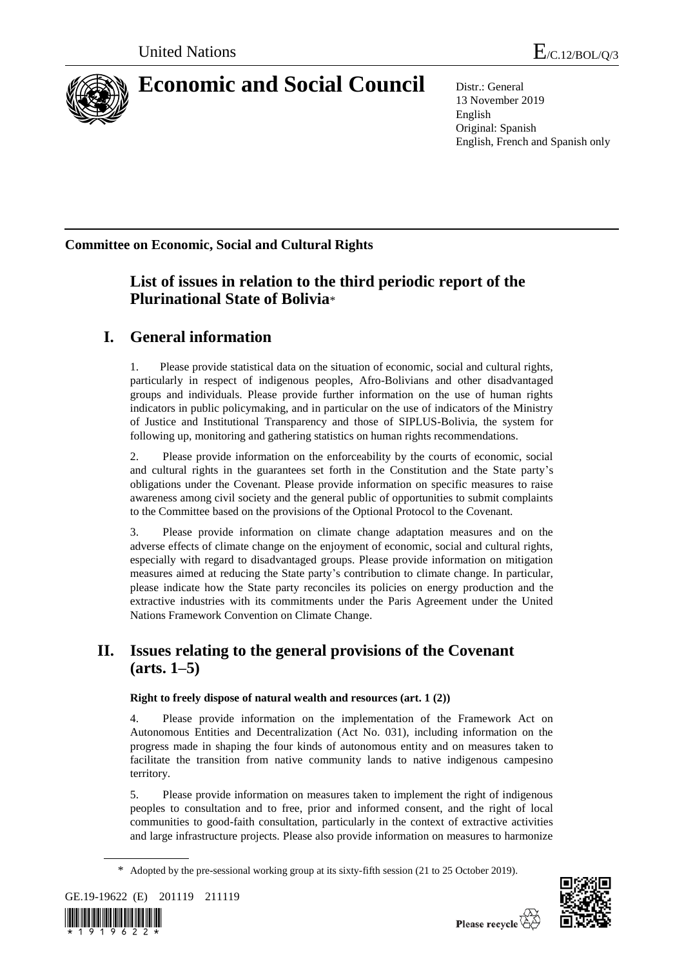

# **Economic and Social Council** Distr.: General

13 November 2019 English Original: Spanish English, French and Spanish only

**Committee on Economic, Social and Cultural Rights**

# **List of issues in relation to the third periodic report of the Plurinational State of Bolivia**\*

# **I. General information**

1. Please provide statistical data on the situation of economic, social and cultural rights, particularly in respect of indigenous peoples, Afro-Bolivians and other disadvantaged groups and individuals. Please provide further information on the use of human rights indicators in public policymaking, and in particular on the use of indicators of the Ministry of Justice and Institutional Transparency and those of SIPLUS-Bolivia, the system for following up, monitoring and gathering statistics on human rights recommendations.

2. Please provide information on the enforceability by the courts of economic, social and cultural rights in the guarantees set forth in the Constitution and the State party's obligations under the Covenant. Please provide information on specific measures to raise awareness among civil society and the general public of opportunities to submit complaints to the Committee based on the provisions of the Optional Protocol to the Covenant.

3. Please provide information on climate change adaptation measures and on the adverse effects of climate change on the enjoyment of economic, social and cultural rights, especially with regard to disadvantaged groups. Please provide information on mitigation measures aimed at reducing the State party's contribution to climate change. In particular, please indicate how the State party reconciles its policies on energy production and the extractive industries with its commitments under the Paris Agreement under the United Nations Framework Convention on Climate Change.

# **II. Issues relating to the general provisions of the Covenant (arts. 1–5)**

### **Right to freely dispose of natural wealth and resources (art. 1 (2))**

4. Please provide information on the implementation of the Framework Act on Autonomous Entities and Decentralization (Act No. 031), including information on the progress made in shaping the four kinds of autonomous entity and on measures taken to facilitate the transition from native community lands to native indigenous campesino territory.

5. Please provide information on measures taken to implement the right of indigenous peoples to consultation and to free, prior and informed consent, and the right of local communities to good-faith consultation, particularly in the context of extractive activities and large infrastructure projects. Please also provide information on measures to harmonize

<sup>\*</sup> Adopted by the pre-sessional working group at its sixty-fifth session (21 to 25 October 2019).







Please recycle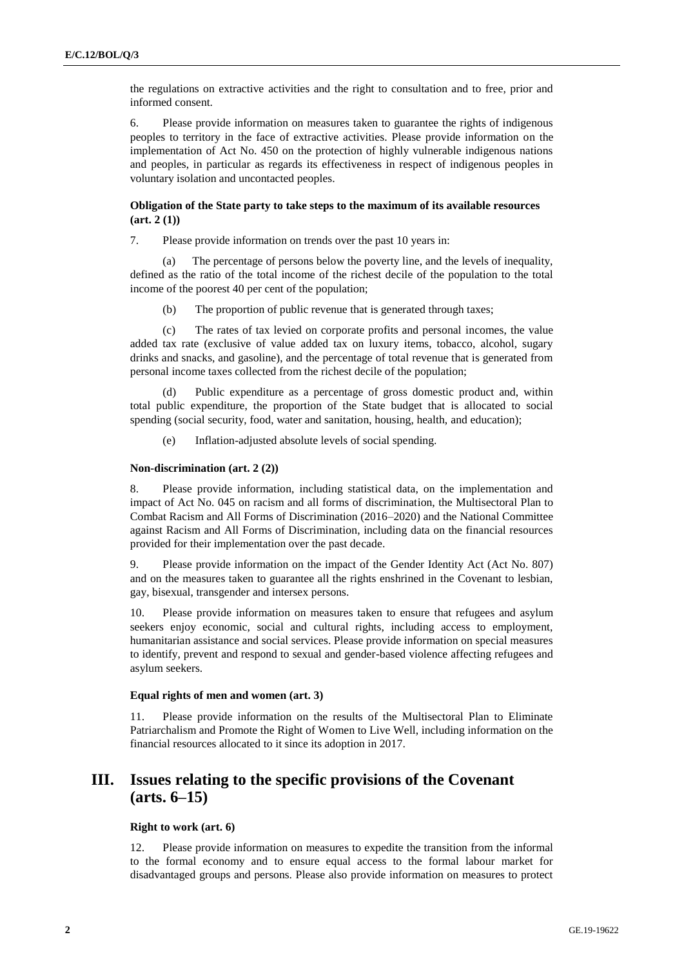the regulations on extractive activities and the right to consultation and to free, prior and informed consent.

6. Please provide information on measures taken to guarantee the rights of indigenous peoples to territory in the face of extractive activities. Please provide information on the implementation of Act No. 450 on the protection of highly vulnerable indigenous nations and peoples, in particular as regards its effectiveness in respect of indigenous peoples in voluntary isolation and uncontacted peoples.

#### **Obligation of the State party to take steps to the maximum of its available resources (art. 2 (1))**

7. Please provide information on trends over the past 10 years in:

The percentage of persons below the poverty line, and the levels of inequality, defined as the ratio of the total income of the richest decile of the population to the total income of the poorest 40 per cent of the population;

(b) The proportion of public revenue that is generated through taxes;

(c) The rates of tax levied on corporate profits and personal incomes, the value added tax rate (exclusive of value added tax on luxury items, tobacco, alcohol, sugary drinks and snacks, and gasoline), and the percentage of total revenue that is generated from personal income taxes collected from the richest decile of the population;

(d) Public expenditure as a percentage of gross domestic product and, within total public expenditure, the proportion of the State budget that is allocated to social spending (social security, food, water and sanitation, housing, health, and education);

(e) Inflation-adjusted absolute levels of social spending.

#### **Non-discrimination (art. 2 (2))**

8. Please provide information, including statistical data, on the implementation and impact of Act No. 045 on racism and all forms of discrimination, the Multisectoral Plan to Combat Racism and All Forms of Discrimination (2016–2020) and the National Committee against Racism and All Forms of Discrimination, including data on the financial resources provided for their implementation over the past decade.

9. Please provide information on the impact of the Gender Identity Act (Act No. 807) and on the measures taken to guarantee all the rights enshrined in the Covenant to lesbian, gay, bisexual, transgender and intersex persons.

10. Please provide information on measures taken to ensure that refugees and asylum seekers enjoy economic, social and cultural rights, including access to employment, humanitarian assistance and social services. Please provide information on special measures to identify, prevent and respond to sexual and gender-based violence affecting refugees and asylum seekers.

#### **Equal rights of men and women (art. 3)**

11. Please provide information on the results of the Multisectoral Plan to Eliminate Patriarchalism and Promote the Right of Women to Live Well, including information on the financial resources allocated to it since its adoption in 2017.

## **III. Issues relating to the specific provisions of the Covenant (arts. 6–15)**

### **Right to work (art. 6)**

12. Please provide information on measures to expedite the transition from the informal to the formal economy and to ensure equal access to the formal labour market for disadvantaged groups and persons. Please also provide information on measures to protect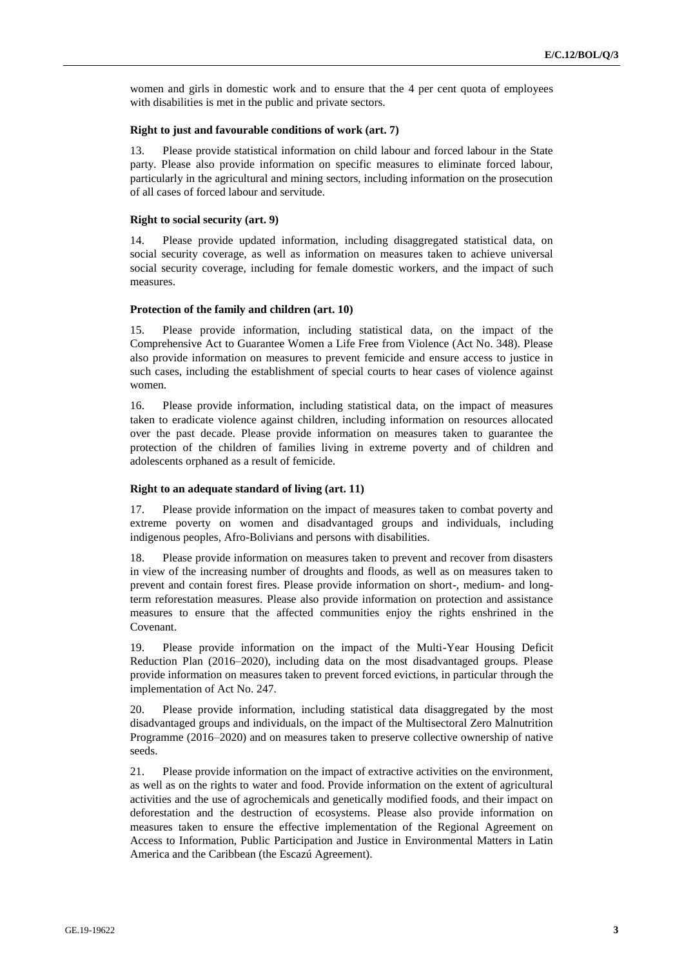women and girls in domestic work and to ensure that the 4 per cent quota of employees with disabilities is met in the public and private sectors.

#### **Right to just and favourable conditions of work (art. 7)**

13. Please provide statistical information on child labour and forced labour in the State party. Please also provide information on specific measures to eliminate forced labour, particularly in the agricultural and mining sectors, including information on the prosecution of all cases of forced labour and servitude.

#### **Right to social security (art. 9)**

14. Please provide updated information, including disaggregated statistical data, on social security coverage, as well as information on measures taken to achieve universal social security coverage, including for female domestic workers, and the impact of such measures.

#### **Protection of the family and children (art. 10)**

15. Please provide information, including statistical data, on the impact of the Comprehensive Act to Guarantee Women a Life Free from Violence (Act No. 348). Please also provide information on measures to prevent femicide and ensure access to justice in such cases, including the establishment of special courts to hear cases of violence against women.

16. Please provide information, including statistical data, on the impact of measures taken to eradicate violence against children, including information on resources allocated over the past decade. Please provide information on measures taken to guarantee the protection of the children of families living in extreme poverty and of children and adolescents orphaned as a result of femicide.

#### **Right to an adequate standard of living (art. 11)**

17. Please provide information on the impact of measures taken to combat poverty and extreme poverty on women and disadvantaged groups and individuals, including indigenous peoples, Afro-Bolivians and persons with disabilities.

18. Please provide information on measures taken to prevent and recover from disasters in view of the increasing number of droughts and floods, as well as on measures taken to prevent and contain forest fires. Please provide information on short-, medium- and longterm reforestation measures. Please also provide information on protection and assistance measures to ensure that the affected communities enjoy the rights enshrined in the Covenant.

19. Please provide information on the impact of the Multi-Year Housing Deficit Reduction Plan (2016–2020), including data on the most disadvantaged groups. Please provide information on measures taken to prevent forced evictions, in particular through the implementation of Act No. 247.

20. Please provide information, including statistical data disaggregated by the most disadvantaged groups and individuals, on the impact of the Multisectoral Zero Malnutrition Programme (2016–2020) and on measures taken to preserve collective ownership of native seeds.

21. Please provide information on the impact of extractive activities on the environment, as well as on the rights to water and food. Provide information on the extent of agricultural activities and the use of agrochemicals and genetically modified foods, and their impact on deforestation and the destruction of ecosystems. Please also provide information on measures taken to ensure the effective implementation of the Regional Agreement on Access to Information, Public Participation and Justice in Environmental Matters in Latin America and the Caribbean (the Escazú Agreement).